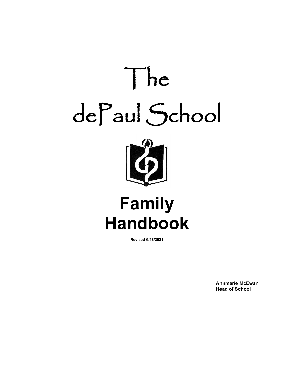

# **Family Handbook**

**Revised 6/18/2021**

**Annmarie McEwan Head of School**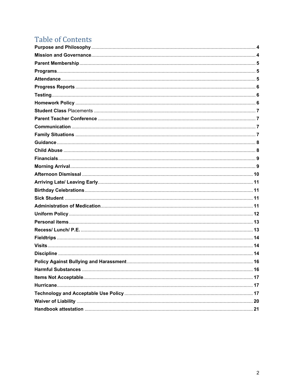# **Table of Contents**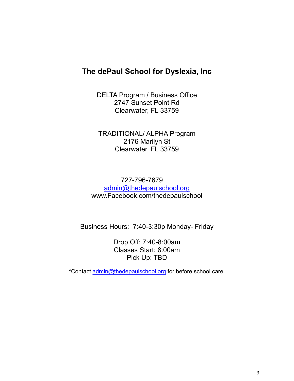### **The dePaul School for Dyslexia, Inc**

DELTA Program / Business Office 2747 Sunset Point Rd Clearwater, FL 33759

TRADITIONAL/ ALPHA Program 2176 Marilyn St Clearwater, FL 33759

727-796-7679 [admin@thedepaulschool.org](mailto:admin@thedepaulschool.org) [www.Facebook.com/thedepaulschool](http://www.facebook.com/thedepaulschool)

Business Hours: 7:40-3:30p Monday- Friday

Drop Off: 7:40-8:00am Classes Start: 8:00am Pick Up: TBD

\*Contact [admin@thedepaulschool.org](mailto:admin@thedepaulschool.org) for before school care.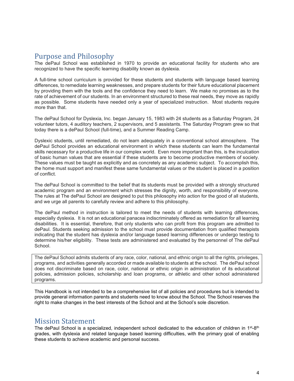### Purpose and Philosophy

The dePaul School was established in 1970 to provide an educational facility for students who are recognized to have the specific learning disability known as dyslexia.

A full-time school curriculum is provided for these students and students with language based learning differences, to remediate learning weaknesses, and prepare students for their future educational placement by providing them with the tools and the confidence they need to learn. We make no promises as to the rate of achievement of our students. In an environment structured to these real needs, they move as rapidly as possible. Some students have needed only a year of specialized instruction. Most students require more than that.

The dePaul School for Dyslexia, Inc. began January 15, 1983 with 24 students as a Saturday Program, 24 volunteer tutors, 4 auditory teachers, 2 supervisors, and 5 assistants. The Saturday Program grew so that today there is a dePaul School (full-time), and a Summer Reading Camp.

Dyslexic students, until remediated, do not learn adequately in a conventional school atmosphere. The dePaul School provides an educational environment in which these students can learn the fundamental skills necessary for a productive life in our complex world. Even more important than this, is the inculcation of basic human values that are essential if these students are to become productive members of society. These values must be taught as explicitly and as concretely as any academic subject. To accomplish this, the home must support and manifest these same fundamental values or the student is placed in a position of conflict.

The dePaul School is committed to the belief that its students must be provided with a strongly structured academic program and an environment which stresses the dignity, worth, and responsibility of everyone. The rules at The dePaul School are designed to put this philosophy into action for the good of all students, and we urge all parents to carefully review and adhere to this philosophy.

The dePaul method in instruction is tailored to meet the needs of students with learning differences, especially dyslexia. It is not an educational panacea indiscriminately offered as remediation for all learning disabilities. It is essential, therefore, that only students who can profit from this program are admitted to dePaul. Students seeking admission to the school must provide documentation from qualified therapists indicating that the student has dyslexia and/or language based learning differences or undergo testing to determine his/her eligibility. These tests are administered and evaluated by the personnel of The dePaul School.

The dePaul School admits students of any race, color, national, and ethnic origin to all the rights, privileges, programs, and activities generally accorded or made available to students at the school. The dePaul school does not discriminate based on race, color, national or ethnic origin in administration of its educational policies, admission policies, scholarship and loan programs, or athletic and other school administered programs.

This Handbook is not intended to be a comprehensive list of all policies and procedures but is intended to provide general information parents and students need to know about the School. The School reserves the right to make changes in the best interests of the School and at the School's sole discretion.

### Mission Statement

The dePaul School is a specialized, independent school dedicated to the education of children in  $1^{st}$ -8<sup>th</sup> grades, with dyslexia and related language based learning difficulties, with the primary goal of enabling these students to achieve academic and personal success.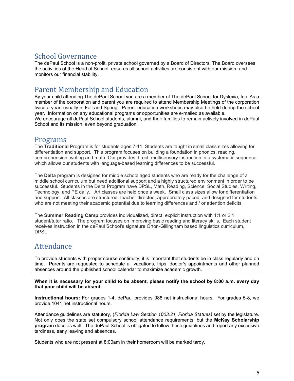### School Governance

The dePaul School is a non-profit, private school governed by a Board of Directors. The Board oversees the activities of the Head of School, ensures all school activities are consistent with our mission, and monitors our financial stability.

### Parent Membership and Education

By your child attending The dePaul School you are a member of The dePaul School for Dyslexia, Inc. As a member of the corporation and parent you are required to attend Membership Meetings of the corporation twice a year, usually in Fall and Spring. Parent education workshops may also be held during the school year. Information on any educational programs or opportunities are e-mailed as available. We encourage all dePaul School students, alumni, and their families to remain actively involved in dePaul School and its mission, even beyond graduation.

### Programs

The **Traditional** Program is for students ages 7-11. Students are taught in small class sizes allowing for differentiation and support. This program focuses on building a foundation in phonics, reading, comprehension, writing and math. Our provides direct, multisensory instruction in a systematic sequence which allows our students with language-based learning differences to be successful.

The **Delta** program is designed for middle school aged students who are ready for the challenge of a middle school curriculum but need additional support and a highly structured environment in order to be successful. Students in the Delta Program have DPSL, Math, Reading, Science, Social Studies, Writing, Technology, and PE daily. Art classes are held once a week. Small class sizes allow for differentiation and support. All classes are structured, teacher directed, appropriately paced, and designed for students who are not meeting their academic potential due to learning differences and / or attention deficits

The **Summer Reading Camp** provides individualized, direct, explicit instruction with 1:1 or 2:1 student/tutor ratio. The program focuses on improving basic reading and literacy skills. Each student receives instruction in the dePaul School's signature Orton-Gillingham based linguistics curriculum, DPSL

# Attendance

To provide students with proper course continuity, it is important that students be in class regularly and on time. Parents are requested to schedule all vacations, trips, doctor's appointments and other planned absences around the published school calendar to maximize academic growth.

**When it is necessary for your child to be absent, please notify the school by 8:00 a.m. every day that your child will be absent.**

**Instructional hours:** For grades 1-4, dePaul provides 988 net instructional hours. For grades 5-8, we provide 1041 net instructional hours.

Attendance guidelines are statutory, (*Florida Law Section 1003.21, Florida Statues)* set by the legislature. Not only does the state set compulsory school attendance requirements, but the **McKay Scholarship program** does as well. The dePaul School is obligated to follow these guidelines and report any excessive tardiness, early leaving and absences.

Students who are not present at 8:00am in their homeroom will be marked tardy.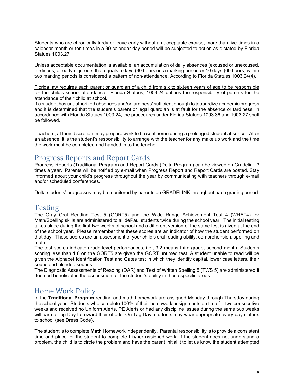Students who are chronically tardy or leave early without an acceptable excuse, more than five times in a calendar month or ten times in a 90-calendar day period will be subjected to action as dictated by Florida Statues 1003.27.

Unless acceptable documentation is available, an accumulation of daily absences (excused or unexcused, tardiness, or early sign-outs that equals 5 days (30 hours) in a marking period or 10 days (60 hours) within two marking periods is considered a pattern of non-attendance. According to Florida Statues 1003.24(4).

Florida law requires each parent or guardian of a child from six to sixteen years of age to be responsible for the child's school attendance. Florida Statues, 1003.24 defines the responsibility of parents for the attendance of their child at school.

If a student has unauthorized absences and/or tardiness' sufficient enough to jeopardize academic progress and it is determined that the student's parent or legal guardian is at fault for the absence or tardiness, in accordance with Florida Statues 1003.24, the procedures under Florida Statues 1003.36 and 1003.27 shall be followed.

Teachers, at their discretion, may prepare work to be sent home during a prolonged student absence. After an absence, it is the student's responsibility to arrange with the teacher for any make up work and the time the work must be completed and handed in to the teacher.

### Progress Reports and Report Cards

Progress Reports (Traditional Program) and Report Cards (Delta Program) can be viewed on Gradelink 3 times a year. Parents will be notified by e-mail when Progress Report and Report Cards are posted. Stay informed about your child's progress throughout the year by communicating with teachers through e-mail and/or scheduled conferences.

Delta students' progresses may be monitored by parents on GRADELINK throughout each grading period.

### **Testing**

The Gray Oral Reading Test 5 (GORT5) and the Wide Range Achievement Test 4 (WRAT4) for Math/Spelling skills are administered to all dePaul students twice during the school year. The initial testing takes place during the first two weeks of school and a different version of the same test is given at the end of the school year. Please remember that these scores are an indicator of how the student performed on that day. These scores are an assessment of your child's oral reading ability, comprehension, spelling and math.

The test scores indicate grade level performances, i.e., 3.2 means third grade, second month. Students scoring less than 1.0 on the GORT5 are given the GORT untimed test. A student unable to read will be given the Alphabet Identification Test and Gates test in which they identify capital, lower case letters, their sound and blended sounds.

The Diagnostic Assessments of Reading (DAR) and Test of Written Spelling 5 (TWS 5) are administered if deemed beneficial in the assessment of the student's ability in these specific areas.

### Home Work Policy

In the **Traditional Program** reading and math homework are assigned Monday through Thursday during the school year. Students who complete 100% of their homework assignments on time for two consecutive weeks and received no Uniform Alerts, PE Alerts or had any discipline issues during the same two weeks will earn a Tag Day to reward their efforts. On Tag Day, students may wear appropriate every-day clothes to school (see Dress Code).

The student is to complete **Math** Homework independently. Parental responsibility is to provide a consistent time and place for the student to complete his/her assigned work. If the student does not understand a problem, the child is to circle the problem and have the parent initial it to let us know the student attempted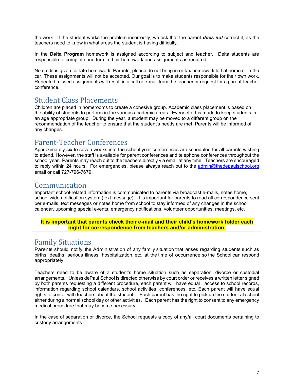the work. If the student works the problem incorrectly, we ask that the parent *does not* correct it, as the teachers need to know in what areas the student is having difficulty.

In the **Delta Program** homework is assigned according to subject and teacher. Delta students are responsible to complete and turn in their homework and assignments as required.

No credit is given for late homework. Parents, please do not bring in or fax homework left at home or in the car. These assignments will not be accepted. Our goal is to make students responsible for their own work. Repeated missed assignments will result in a call or e-mail from the teacher or request for a parent-teacher conference.

### Student Class Placements

Children are placed in homerooms to create a cohesive group. Academic class placement is based on the ability of students to perform in the various academic areas. Every effort is made to keep students in an age appropriate group. During the year, a student may be moved to a different group on the recommendation of the teacher to ensure that the student's needs are met. Parents will be informed of any changes.

### Parent-Teacher Conferences

Approximately six to seven weeks into the school year conferences are scheduled for all parents wishing to attend. However, the staff is available for parent conferences and telephone conferences throughout the school year. Parents may reach out to the teachers directly via email at any time. Teachers are encouraged to reply within 24 hours. For emergencies, please always reach out to the [admin@thedepaulschool.org](mailto:admin@thedepaulschool.org) email or call 727-796-7679.

### Communication

Important school-related information is communicated to parents via broadcast e-mails, notes home, school wide notification system (text message). It is important for parents to read all correspondence sent per e-mails, text messages or notes home from school to stay informed of any changes in the school calendar, upcoming special events, emergency notifications, volunteer opportunities, meetings, etc.

#### **It is important that parents check their e-mail and their child's homework folder each night for correspondence from teachers and/or administration.**

### Family Situations

Parents should notify the Administration of any family situation that arises regarding students such as births, deaths, serious illness, hospitalization, etc. at the time of occurrence so the School can respond appropriately.

Teachers need to be aware of a student's home situation such as separation, divorce or custodial arrangements. Unless dePaul School is directed otherwise by court order or receives a written letter signed by both parents requesting a different procedure, each parent will have equal access to school records, information regarding school calendars, school activities, conferences, etc. Each parent will have equal rights to confer with teachers about the student. Each parent has the right to pick up the student at school either during a normal school day or other activities. Each parent has the right to consent to any emergency medical procedure that may become necessary.

In the case of separation or divorce, the School requests a copy of any/all court documents pertaining to custody arrangements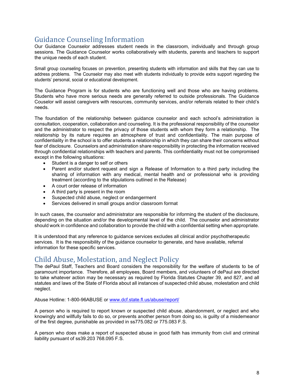# Guidance Counseling Information

Our Guidance Counselor addresses student needs in the classroom, individually and through group sessions. The Guidance Counselor works collaboratively with students, parents and teachers to support the unique needs of each student.

Small group counseling focuses on prevention, presenting students with information and skills that they can use to address problems. The Counselor may also meet with students individually to provide extra support regarding the students' personal, social or educational development.

The Guidance Program is for students who are functioning well and those who are having problems. Students who have more serious needs are generally referred to outside professionals. The Guidance Couselor will assist caregivers with resources, community services, and/or referrals related to their child's needs.

The foundation of the relationship between guidance counselor and each school's administration is consultation, cooperation, collaboration and counseling. It is the professional responsibility of the counselor and the administrator to respect the privacy of those students with whom they form a relationship. The relationship by its nature requires an atmosphere of trust and confidentiality. The main purpose of confidentiality in the school is to offer students a relationship in which they can share their concerns without fear of disclosure. Counselors and administration share responsibility in protecting the information received through confidential relationships with teachers and parents. This confidentiality must not be compromised except in the following situations:

- Student is a danger to self or others
- Parent and/or student request and sign a Release of Information to a third party including the sharing of information with any medical, mental health and or professional who is providing treatment (according to the stipulations outlined in the Release)
- A court order release of information
- A third party is present in the room
- Suspected child abuse, neglect or endangerment
- Services delivered in small groups and/or classroom format

In such cases, the counselor and administrator are responsible for informing the student of the disclosure, depending on the situation and/or the developmental level of the child. The counselor and administrator should work in confidence and collaboration to provide the child with a confidential setting when appropriate.

It is understood that any reference to guidance services excludes all clinical and/or psychotherapeutic services. It is the responsibility of the guidance counselor to generate, and have available, referral information for these specific services.

### Child Abuse, Molestation, and Neglect Policy

The dePaul Staff, Teachers and Board considers the responsibility for the welfare of students to be of paramount importance. Therefore, all employees, Board members, and volunteers of dePaul are directed to take whatever action may be necessary as required by Florida Statutes Chapter 39, and 827, and all statutes and laws of the State of Florida about all instances of suspected child abuse, molestation and child neglect.

Abuse Hotline: 1-800-96ABUSE or [www.dcf.state.fl.us/abuse/report/](http://www.dcf.state.fl.us/abuse/report/)

A person who is required to report known or suspected child abuse, abandonment, or neglect and who knowingly and willfully fails to do so, or prevents another person from doing so, is guilty of a misdemeanor of the first degree, punishable as provided in ss775.082 or 775.083 F.S.

A person who does make a report of suspected abuse in good faith has immunity from civil and criminal liability pursuant of ss39.203 768.095 F.S.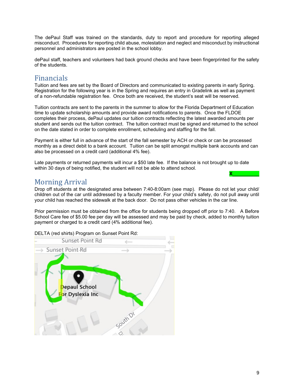The dePaul Staff was trained on the standards, duty to report and procedure for reporting alleged misconduct. Procedures for reporting child abuse, molestation and neglect and misconduct by instructional personnel and administrators are posted in the school lobby.

dePaul staff, teachers and volunteers had back ground checks and have been fingerprinted for the safety of the students.

### Financials

Tuition and fees are set by the Board of Directors and communicated to existing parents in early Spring. Registration for the following year is in the Spring and requires an entry in Gradelink as well as payment of a non-refundable registration fee. Once both are received, the student's seat will be reserved.

Tuition contracts are sent to the parents in the summer to allow for the Florida Department of Education time to update scholarship amounts and provide award notifications to parents. Once the FLDOE completes their process, dePaul updates our tuition contracts reflecting the latest awarded amounts per student and sends out the tuition contract. The tuition contract must be signed and returned to the school on the date stated in order to complete enrollment, scheduling and staffing for the fall.

Payment is either full in advance of the start of the fall semester by ACH or check or can be processed monthly as a direct debit to a bank account. Tuition can be split amongst multiple bank accounts and can also be processed on a credit card (additional 4% fee).

Late payments or returned payments will incur a \$50 late fee. If the balance is not brought up to date within 30 days of being notified, the student will not be able to attend school.

### Morning Arrival

Drop off students at the designated area between 7:40-8:00am (see map). Please do not let your child/ children out of the car until addressed by a faculty member. For your child's safety, do not pull away until your child has reached the sidewalk at the back door. Do not pass other vehicles in the car line.

Prior permission must be obtained from the office for students being dropped off prior to 7:40. A Before School Care fee of \$5.00 fee per day will be assessed and may be paid by check, added to monthly tuition payment or charged to a credit card (4% additional fee).

Sunset Point Rd Sunset Point-Rd epaul School or Dyslexia Inc

DELTA (red shirts) Program on Sunset Point Rd:

**X\_\_\_\_\_\_\_\_\_\_**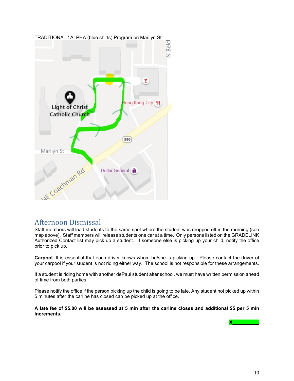

### Afternoon Dismissal

Staff members will lead students to the same spot where the student was dropped off in the morning (see map above). Staff members will release students one car at a time. Only persons listed on the GRADELINK Authorized Contact list may pick up a student. If someone else is picking up your child, notify the office prior to pick up.

**Carpool**: It is essential that each driver knows whom he/she is picking up. Please contact the driver of your carpool if your student is not riding either way. The school is not responsible for these arrangements.

If a student is riding home with another dePaul student after school, we must have written permission ahead of time from both parties.

Please notify the office if the person picking up the child is going to be late. Any student not picked up within 5 minutes after the carline has closed can be picked up at the office.

**A late fee of \$5.00 will be assessed at 5 min after the carline closes and additional \$5 per 5 min increments.**

**X\_\_\_\_\_\_\_\_\_\_**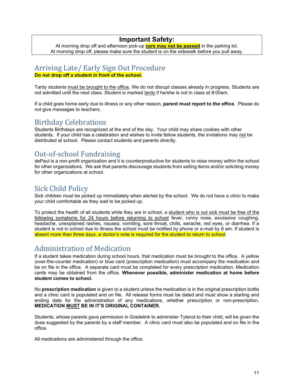### **Important Safety:**

At morning drop off and afternoon pick-up **cars may not be passed** in the parking lot. At morning drop off, please make sure the student is on the sidewalk before you pull away.

# Arriving Late/ Early Sign Out Procedure

**Do not drop off a student in front of the school.**

Tardy students must be brought to the office**.** We do not disrupt classes already in progress. Students are not admitted until the next class. Student is marked tardy if he/she is not in class at 8:00am.

If a child goes home early due to illness or any other reason, **parent must report to the office.** Please do not give messages to teachers.

# Birthday Celebrations

Students Birthdays are recognized at the end of the day. Your child may share cookies with other students. If your child has a celebration and wishes to invite fellow students, the invitations may not be distributed at school. Please contact students and parents directly.

# Out-of-school Fundraising

dePaul is a non-profit organization and it is counterproductive for students to raise money within the school for other organizations. We ask that parents discourage students from selling items and/or soliciting money for other organizations at school.

### Sick Child Policy

Sick children must be picked up immediately when alerted by the school. We do not have a clinic to make your child comfortable as they wait to be picked up.

To protect the health of all students while they are in school, a student who is out sick must be free of the following symptoms for 24 hours before returning to school fever, runny nose, excessive coughing, headache, unexplained rashes, nausea, vomiting, sore throat, chills, earache, red eyes, or diarrhea. If a student is not in school due to illness the school must be notified by phone or e-mail by 8 am. If student is absent more than three days, a doctor's note is required for the student to return to school.

### Administration of Medication

If a student takes medication during school hours, that medication must be brought to the office. A yellow (over-the-counter medication) or blue card (prescription medication) must accompany the medication and be on file in the office. A separate card must be completed for every prescription medication. Medication cards may be obtained from the office. **Whenever possible, administer medication at home before student comes to school.**

No **prescription medication** is given to a student unless the medication is in the original prescription bottle and a clinic card is populated and on file. All release forms must be dated and must show a starting and ending date for the administration of any medications, whether prescription or non-prescription. **MEDICATION MUST BE IN IT'S ORIGINAL CONTAINER.** 

Students, whose parents gave permission in Gradelink to administer Tylenol to their child, will be given the dose suggested by the parents by a staff member. A clinic card must also be populated and on file in the office.

All medications are administered through the office.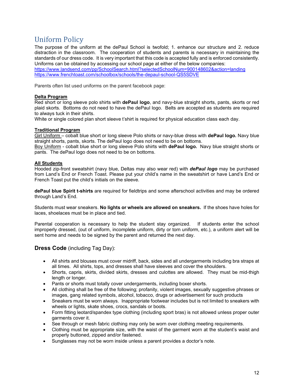# Uniform Policy

The purpose of the uniform at the dePaul School is twofold; 1. enhance our structure and 2. reduce distraction in the classroom. The cooperation of students and parents is necessary in maintaining the standards of our dress code. It is very important that this code is accepted fully and is enforced consistently. Uniforms can be obtained by accessing our school page at either of the below companies: <https://www.landsend.com/pp/SchoolSearch.html?selectedSchoolNum=900148602&action=landing> <https://www.frenchtoast.com/schoolbox/schools/the-depaul-school-QS5SDVE>

Parents often list used uniforms on the parent facebook page:

#### **Delta Program**

Red short or long sleeve polo shirts with **dePaul logo**, and navy-blue straight shorts, pants, skorts or red plaid skorts. Bottoms do not need to have the dePaul logo. Belts are accepted as students are required to always tuck in their shirts.

White or single colored plan short sleeve t'shirt is required for physical education class each day.

#### **Traditional Program**

Girl Uniform – cobalt blue short or long sleeve Polo shirts or navy-blue dress with **dePaul logo***.* Navy blue straight shorts, pants, skorts. The dePaul logo does not need to be on bottoms.

Boy Uniform - cobalt blue short or long sleeve Polo shirts with **dePaul logo***.* Navy blue straight shorts or pants. The dePaul logo does not need to be on bottoms.

#### **All Students**

Hooded zip-front sweatshirt (navy blue, Deltas may also wear red) with *dePaul logo* may be purchased from Land's End or French Toast. Please put your child's name in the sweatshirt or have Land's End or French Toast put the child's initials on the sleeve.

**dePaul blue Spirit t-shirts** are required for fieldtrips and some afterschool activities and may be ordered through Land's End.

Students must wear sneakers. **No lights or wheels are allowed on sneakers.** If the shoes have holes for laces, shoelaces must be in place and tied.

Parental cooperation is necessary to help the student stay organized. If students enter the school improperly dressed, (out of uniform, incomplete uniform, dirty or torn uniform, etc.), a uniform alert will be sent home and needs to be signed by the parent and returned the next day.

#### **Dress Code** (including Tag Day):

- All shirts and blouses must cover midriff, back, sides and all undergarments including bra straps at all times. All shirts, tops, and dresses shall have sleeves and cover the shoulders.
- Shorts, capris, skirts, divided skirts, dresses and culottes are allowed. They must be mid-thigh length or longer.
- Pants or shorts must totally cover undergarments, including boxer shorts.
- All clothing shall be free of the following; profanity, violent images, sexually suggestive phrases or images, gang related symbols, alcohol, tobacco, drugs or advertisement for such products
- Sneakers must be worn always. Inappropriate footwear includes but is not limited to sneakers with wheels or lights, skate shoes, crocs, sandals or boots.
- Form fitting leotard/spandex type clothing (including sport bras) is not allowed unless proper outer garments cover it.
- See through or mesh fabric clothing may only be worn over clothing meeting requirements.
- Clothing must be appropriate size, with the waist of the garment worn at the student's waist and properly buttoned, zipped and/or fastened.
- Sunglasses may not be worn inside unless a parent provides a doctor's note.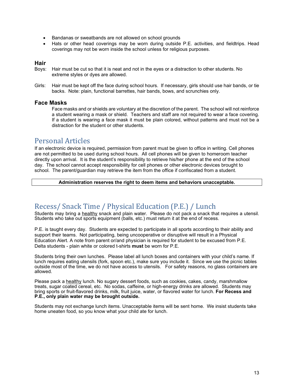- Bandanas or sweatbands are not allowed on school grounds
- Hats or other head coverings may be worn during outside P.E. activities, and fieldtrips. Head coverings may not be worn inside the school unless for religious purposes.

#### **Hair**

- Boys: Hair must be cut so that it is neat and not in the eyes or a distraction to other students. No extreme styles or dyes are allowed.
- Girls: Hair must be kept off the face during school hours. If necessary, girls should use hair bands, or tie backs. Note: plain, functional barrettes, hair bands, bows, and scrunchies only.

#### **Face Masks**

Face masks and or shields are voluntary at the discretion of the parent. The school will not reinforce a student wearing a mask or shield. Teachers and staff are not required to wear a face covering. If a student is wearing a face mask it must be plain colored, without patterns and must not be a distraction for the student or other students.

### Personal Articles

If an electronic device is required, permission from parent must be given to office in writing. Cell phones are not permitted to be used during school hours. All cell phones will be given to homeroom teacher directly upon arrival. It is the student's responsibility to retrieve his/her phone at the end of the school day. The school cannot accept responsibility for cell phones or other electronic devices brought to school. The parent/guardian may retrieve the item from the office if confiscated from a student.

#### **Administration reserves the right to deem items and behaviors unacceptable.**

### Recess/ Snack Time / Physical Education (P.E.) / Lunch

Students may bring a healthy snack and plain water. Please do not pack a snack that requires a utensil. Students who take out sports equipment (balls, etc.) must return it at the end of recess.

P.E. is taught every day. Students are expected to participate in all sports according to their ability and support their teams. Not participating, being uncooperative or disruptive will result in a Physical Education Alert. A note from parent or/and physician is required for student to be excused from P.E. Delta students - plain white or colored t-shirts **must** be worn for P.E.

Students bring their own lunches. Please label all lunch boxes and containers with your child's name. If lunch requires eating utensils (fork, spoon etc.), make sure you include it. Since we use the picnic tables outside most of the time, we do not have access to utensils. For safety reasons, no glass containers are allowed.

Please pack a healthy lunch. No sugary dessert foods, such as cookies, cakes, candy, marshmallow treats, sugar coated cereal, etc. No sodas, caffeine, or high-energy drinks are allowed. Students may bring sports or fruit-flavored drinks, milk, fruit juice, water, or flavored water for lunch. **For Recess and P.E., only plain water may be brought outside.**

Students may not exchange lunch items. Unacceptable items will be sent home. We insist students take home uneaten food, so you know what your child ate for lunch.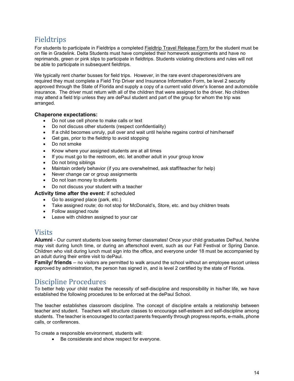# Fieldtrips

For students to participate in Fieldtrips a completed **Fieldtrip Travel Release Form** for the student must be on file in Gradelink. Delta Students must have completed their homework assignments and have no reprimands, green or pink slips to participate in fieldtrips. Students violating directions and rules will not be able to participate in subsequent fieldtrips.

We typically rent charter busses for field trips. However, in the rare event chaperones/drivers are required they must complete a Field Trip Driver and Insurance Information Form, be level 2 security approved through the State of Florida and supply a copy of a current valid driver's license and automobile insurance. The driver must return with all of the children that were assigned to the driver. No children may attend a field trip unless they are dePaul student and part of the group for whom the trip was arranged.

#### **Chaperone expectations:**

- Do not use cell phone to make calls or text
- Do not discuss other students (respect confidentiality)
- If a child becomes unruly, pull over and wait until he/she regains control of him/herself
- Get gas, prior to the fieldtrip to avoid stopping
- Do not smoke
- Know where your assigned students are at all times
- If you must go to the restroom, etc. let another adult in your group know
- Do not bring siblings
- Maintain orderly behavior (if you are overwhelmed, ask staff/teacher for help)
- Never change car or group assignments
- Do not loan money to students
- Do not discuss your student with a teacher

#### **Activity time after the event:** if scheduled

- Go to assigned place (park, etc.)
- Take assigned route; do not stop for McDonald's, Store, etc. and buy children treats
- Follow assigned route
- Leave with children assigned to your car

### Visits

**Alumni** - Our current students love seeing former classmates! Once your child graduates DePaul, he/she may visit during lunch time, or during an afterschool event, such as our Fall Festival or Spring Dance. Children who visit during lunch must sign into the office, and everyone under 18 must be accompanied by an adult during their entire visit to dePaul.

**Family/ friends** – no visitors are permitted to walk around the school without an employee escort unless approved by administration, the person has signed in, and is level 2 certified by the state of Florida.

# Discipline Procedures

To better help your child realize the necessity of self-discipline and responsibility in his/her life, we have established the following procedures to be enforced at the dePaul School.

The teacher establishes classroom discipline. The concept of discipline entails a relationship between teacher and student. Teachers will structure classes to encourage self-esteem and self-discipline among students. The teacher is encouraged to contact parents frequently through progress reports, e-mails, phone calls, or conferences.

To create a responsible environment, students will:

• Be considerate and show respect for everyone.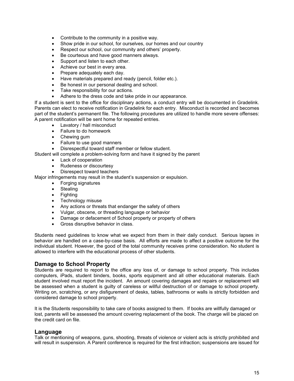- Contribute to the community in a positive way.
- Show pride in our school, for ourselves, our homes and our country
- Respect our school, our community and others' property.
- Be courteous and have good manners always.
- Support and listen to each other.
- Achieve our best in every area.
- Prepare adequately each day.
- Have materials prepared and ready (pencil, folder etc.).
- Be honest in our personal dealing and school.
- Take responsibility for our actions.
- Adhere to the dress code and take pride in our appearance.

If a student is sent to the office for disciplinary actions, a conduct entry will be documented in Gradelink. Parents can elect to receive notification in Gradelink for each entry. Misconduct is recorded and becomes part of the student's permanent file. The following procedures are utilized to handle more severe offenses: A parent notification will be sent home for repeated entries.

- Lavatory / hall misconduct
- Failure to do homework
- Chewing gum
- Failure to use good manners
- Disrespectful toward staff member or fellow student.

Student will complete a problem-solving form and have it signed by the parent

- Lack of cooperation
- Rudeness or discourtesy
- Disrespect toward teachers

Major infringements may result in the student's suspension or expulsion.

- Forging signatures
- Stealing
- Fighting
- Technology misuse
- Any actions or threats that endanger the safety of others
- Vulgar, obscene, or threading language or behavior
- Damage or defacement of School property or property of others
- Gross disruptive behavior in class.

Students need guidelines to know what we expect from them in their daily conduct. Serious lapses in behavior are handled on a case-by-case basis. All efforts are made to affect a positive outcome for the individual student. However, the good of the total community receives prime consideration. No student is allowed to interfere with the educational process of other students.

#### **Damage to School Property**

Students are required to report to the office any loss of, or damage to school property. This includes computers, iPads, student binders, books, sports equipment and all other educational materials. Each student involved must report the incident. An amount covering damages and repairs or replacement will be assessed when a student is guilty of careless or willful destruction of or damage to school property. Writing on, scratching, or any disfigurement of desks, tables, bathrooms or walls is strictly forbidden and considered damage to school property.

It is the Students responsibility to take care of books assigned to them. If books are willfully damaged or lost, parents will be assessed the amount covering replacement of the book. The charge will be placed on the credit card on file.

#### **Language**

Talk or mentioning of weapons, guns, shooting, threats of violence or violent acts is strictly prohibited and will result in suspension. A Parent conference is required for the first infraction; suspensions are issued for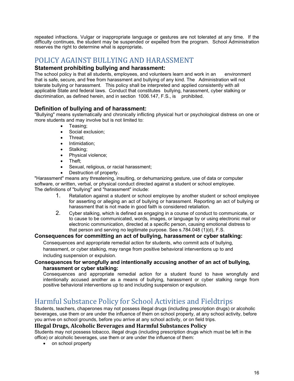repeated infractions. Vulgar or inappropriate language or gestures are not tolerated at any time. If the difficulty continues, the student may be suspended or expelled from the program. School Administration reserves the right to determine what is appropriate**.** 

# POLICY AGAINST BULLYING AND HARASSMENT

#### **Statement prohibiting bullying and harassment:**

The school policy is that all students, employees, and volunteers learn and work in an environment that is safe, secure, and free from harassment and bullying of any kind. The Administration will not tolerate bullying or harassment. This policy shall be interpreted and applied consistently with all applicable State and federal laws. Conduct that constitutes bullying, harassment, cyber stalking or discrimination, as defined herein, and in section 1006.147, F.S., is prohibited.

#### **Definition of bullying and of harassment:**

"Bullying" means systematically and chronically inflicting physical hurt or psychological distress on one or more students and may involve but is not limited to:

- Teasing;
- Social exclusion;
- Threat;
- Intimidation;
- Stalking;
- Physical violence;
- Theft;
- Sexual, religious, or racial harassment;
- Destruction of property.

"Harassment" means any threatening, insulting, or dehumanizing gesture, use of data or computer software, or written, verbal, or physical conduct directed against a student or school employee. The definitions of "bullying" and "harassment" include:

- 1. Retaliation against a student or school employee by another student or school employee for asserting or alleging an act of bullying or harassment. Reporting an act of bullying or harassment that is not made in good faith is considered retaliation.
- 2. Cyber stalking, which is defined as engaging in a course of conduct to communicate, or to cause to be communicated, words, images, or language by or using electronic mail or electronic communication, directed at a specific person, causing emotional distress to that person and serving no legitimate purpose. See s.784.048 (1)(d), F.S.

#### **Consequences for committing an act of bullying, harassment or cyber stalking:**

Consequences and appropriate remedial action for students, who commit acts of bullying, harassment, or cyber stalking, may range from positive behavioral interventions up to and including suspension or expulsion.

#### **Consequences for wrongfully and intentionally accusing another of an act of bullying, harassment or cyber stalking:**

Consequences and appropriate remedial action for a student found to have wrongfully and intentionally accused another as a means of bullying, harassment or cyber stalking range from positive behavioral interventions up to and including suspension or expulsion.

### Harmful Substance Policy for School Activities and Fieldtrips

Students, teachers, chaperones may not possess illegal drugs (including prescription drugs) or alcoholic beverages, use them or are under the influence of them on school property, at any school activity, before you arrive on school grounds, before you arrive at any school activity, or on field trips.

#### **Illegal Drugs, Alcoholic Beverages and Harmful Substances Policy**

Students may not possess tobacco, illegal drugs (including prescription drugs which must be left in the office) or alcoholic beverages, use them or are under the influence of them:

• on school property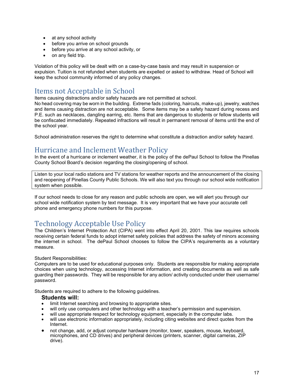- at any school activity
- before you arrive on school grounds
- before you arrive at any school activity, or
- on any field trip.

Violation of this policy will be dealt with on a case-by-case basis and may result in suspension or expulsion. Tuition is not refunded when students are expelled or asked to withdraw. Head of School will keep the school community informed of any policy changes.

### Items not Acceptable in School

Items causing distractions and/or safety hazards are not permitted at school.

No head covering may be worn in the building. Extreme fads (coloring, haircuts, make-up), jewelry, watches and items causing distraction are not acceptable. Some items may be a safety hazard during recess and P.E. such as necklaces, dangling earring, etc. Items that are dangerous to students or fellow students will be confiscated immediately. Repeated infractions will result in permanent removal of items until the end of the school year.

School administration reserves the right to determine what constitute a distraction and/or safety hazard.

# Hurricane and Inclement Weather Policy

In the event of a hurricane or inclement weather, it is the policy of the dePaul School to follow the Pinellas County School Board's decision regarding the closing/opening of school.

Listen to your local radio stations and TV stations for weather reports and the announcement of the closing and reopening of Pinellas County Public Schools. We will also text you through our school wide notification system when possible.

If our school needs to close for any reason and public schools are open, we will alert you through our school wide notification system by text message. It is very important that we have your accurate cell phone and emergency phone numbers for this purpose.

# Technology Acceptable Use Policy

The Children's Internet Protection Act (CIPA) went into effect April 20, 2001. This law requires schools receiving certain federal funds to adopt internet safety policies that address the safety of minors accessing the internet in school. The dePaul School chooses to follow the CIPA's requirements as a voluntary measure.

Student Responsibilities:

Computers are to be used for educational purposes only. Students are responsible for making appropriate choices when using technology, accessing Internet information, and creating documents as well as safe guarding their passwords. They will be responsible for any action/ activity conducted under their username/ password.

Students are required to adhere to the following guidelines.

#### **Students will:**

- limit Internet searching and browsing to appropriate sites.
- will only use computers and other technology with a teacher's permission and supervision.
- will use appropriate respect for technology equipment, especially in the computer labs.
- will use electronic information appropriately, including citing websites and direct quotes from the Internet.
- not change, add, or adjust computer hardware (monitor, tower, speakers, mouse, keyboard, microphones, and CD drives) and peripheral devices (printers, scanner, digital cameras, ZIP drive).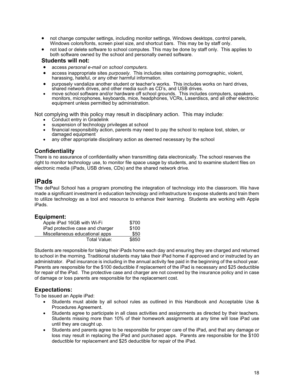- not change computer settings, including monitor settings, Windows desktops, control panels, Windows colors/fonts, screen pixel size, and shortcut bars. This may be by staff only.
- not load or delete software to school computes. This may be done by staff only. This applies to both software owned by the school and personally owned software.

#### **Students will not:**

- access *personal e-mail on school computers.*
- access inappropriate sites *purposely*. This includes sites containing pornographic, violent, harassing, hateful, or any other harmful information.
- purposely vandalize another student or teacher's works. This includes works on hard drives, shared network drives, and other media such as CD's, and USB drives.
- move school software and/or hardware off school grounds. This includes computers, speakers, monitors, microphones, keyboards, mice, headphones, VCRs, Laserdiscs, and all other electronic equipment unless permitted by administration.

Not complying with this policy may result in disciplinary action. This may include:

- Conduct entry in Gradelink
- suspension of technology privileges at school
- financial responsibility action, parents may need to pay the school to replace lost, stolen, or damaged equipment
- any other appropriate disciplinary action as deemed necessary by the school

#### **Confidentiality**

There is no assurance of confidentiality when transmitting data electronically. The school reserves the right to monitor technology use, to monitor file space usage by students, and to examine student files on electronic media (iPads, USB drives, CDs) and the shared network drive.

#### **iPads**

The dePaul School has a program promoting the integration of technology into the classroom. We have made a significant investment in education technology and infrastructure to expose students and train them to utilize technology as a tool and resource to enhance their learning. Students are working with Apple iPads.

#### **Equipment:**

| Apple iPad 16GB with Wi-Fi       | \$700 |
|----------------------------------|-------|
| iPad protective case and charger | \$100 |
| Miscellaneous educational apps   | \$50  |
| Total Value:                     | \$850 |

Students are responsible for taking their iPads home each day and ensuring they are charged and returned to school in the morning. Traditional students may take their iPad home if approved and or instructed by an administrator. iPad insurance is including in the annual activity fee paid in the beginning of the school year. Parents are responsible for the \$100 deductible if replacement of the iPad is necessary and \$25 deductible for repair of the iPad. The protective case and charger are not covered by the insurance policy and in case of damage or loss parents are responsible for the replacement cost.

#### **Expectations:**

To be issued an Apple iPad:

- Students must abide by all school rules as outlined in this Handbook and Acceptable Use & Procedures Agreement.
- Students agree to participate in all class activities and assignments as directed by their teachers. Students missing more than 10% of their homework assignments at any time will lose iPad use until they are caught up.
- Students and parents agree to be responsible for proper care of the iPad, and that any damage or loss may result in replacing the iPad and purchased apps. Parents are responsible for the \$100 deductible for replacement and \$25 deductible for repair of the iPad.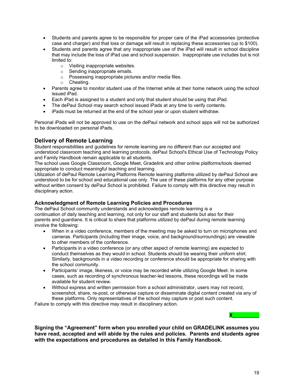- Students and parents agree to be responsible for proper care of the iPad accessories (protective case and charger) and that loss or damage will result in replacing these accessories (up to \$100).
- Students and parents agree that any inappropriate use of the iPad will result in school discipline that may include the loss of iPad use and school suspension. Inappropriate use includes but is not limited to:
	- o Visiting inappropriate websites.
	- o Sending inappropriate emails.
	- o Possessing inappropriate pictures and/or media files.
	- o Cheating.
- Parents agree to monitor student use of the Internet while at their home network using the school issued iPad.
- Each iPad is assigned to a student and only that student should be using that iPad.
- The dePaul School may search school issued iPads at any time to verify contents.
- iPads must be returned at the end of the school year or upon student withdraw.

Personal iPads will not be approved to use on the dePaul network and school apps will not be authorized to be downloaded on personal iPads.

#### **Delivery of Remote Learning**

Student responsibilities and guidelines for remote learning are no different than our accepted and understood classroom teaching and learning protocols. dePaul School's Ethical Use of Technology Policy and Family Handbook remain applicable to all students.

The school uses Google Classroom, Google Meet, Gradelink and other online platforms/tools deemed appropriate to conduct meaningful teaching and learning.

Utilization of dePaul Remote Learning Platforms Remote learning platforms utilized by dePaul School are understood to be for school and educational use only. The use of these platforms for any other purpose without written consent by dePaul School is prohibited. Failure to comply with this directive may result in disciplinary action.

#### **Acknowledgment of Remote Learning Policies and Procedures**

The dePaul School community understands and acknowledges remote learning is a continuation of daily teaching and learning, not only for our staff and students but also for their parents and guardians. It is critical to share that platforms utilized by dePaul during remote learning involve the following:

- When in a video conference, members of the meeting may be asked to turn on microphones and cameras. Participants (including their image, voice, and background/surroundings) are viewable to other members of the conference.
- Participants in a video conference (or any other aspect of remote learning) are expected to conduct themselves as they would in school. Students should be wearing their uniform shirt. Similarly, backgrounds in a video recording or conference should be appropriate for sharing with the school community.
- Participants' image, likeness, or voice may be recorded while utilizing Google Meet. In some cases, such as recording of synchronous teacher-led lessons, these recordings will be made available for student review.
- Without express and written permission from a school administrator, users may not record, screenshot, share, re-post, or otherwise capture or disseminate digital content created via any of these platforms. Only representatives of the school may capture or post such content.

Failure to comply with this directive may result in disciplinary action.

**Signing the "Agreement" form when you enrolled your child on GRADELINK assumes you have read, accepted and will abide by the rules and policies. Parents and students agree with the expectations and procedures as detailed in this Family Handbook.**

**X\_\_\_\_\_\_\_\_\_\_**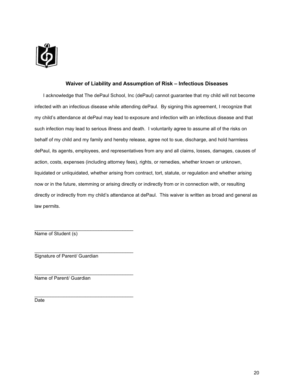

#### **Waiver of Liability and Assumption of Risk – Infectious Diseases**

I acknowledge that The dePaul School, Inc (dePaul) cannot guarantee that my child will not become infected with an infectious disease while attending dePaul. By signing this agreement, I recognize that my child's attendance at dePaul may lead to exposure and infection with an infectious disease and that such infection may lead to serious illness and death. I voluntarily agree to assume all of the risks on behalf of my child and my family and hereby release, agree not to sue, discharge, and hold harmless dePaul, its agents, employees, and representatives from any and all claims, losses, damages, causes of action, costs, expenses (including attorney fees), rights, or remedies, whether known or unknown, liquidated or unliquidated, whether arising from contract, tort, statute, or regulation and whether arising now or in the future, stemming or arising directly or indirectly from or in connection with, or resulting directly or indirectly from my child's attendance at dePaul. This waiver is written as broad and general as law permits.

Name of Student (s)

\_\_\_\_\_\_\_\_\_\_\_\_\_\_\_\_\_\_\_\_\_\_\_\_\_\_\_\_\_\_\_\_\_\_\_\_\_ Signature of Parent/ Guardian

\_\_\_\_\_\_\_\_\_\_\_\_\_\_\_\_\_\_\_\_\_\_\_\_\_\_\_\_\_\_\_\_\_\_\_\_\_

\_\_\_\_\_\_\_\_\_\_\_\_\_\_\_\_\_\_\_\_\_\_\_\_\_\_\_\_\_\_\_\_\_\_\_\_\_

\_\_\_\_\_\_\_\_\_\_\_\_\_\_\_\_\_\_\_\_\_\_\_\_\_\_\_\_\_\_\_\_\_\_\_\_\_ Name of Parent/ Guardian

Date